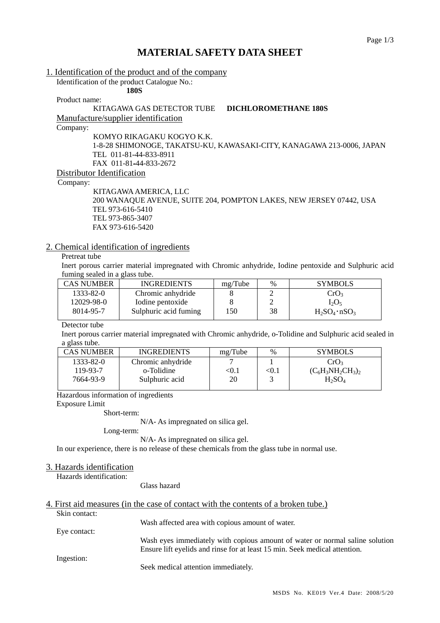# **MATERIAL SAFETY DATA SHEET**

#### 1. Identification of the product and of the company

**180S** 

Identification of the product Catalogue No.:

Product name:

# KITAGAWA GAS DETECTOR TUBE **DICHLOROMETHANE 180S**

Manufacture/supplier identification

Company:

KOMYO RIKAGAKU KOGYO K.K. 1-8-28 SHIMONOGE, TAKATSU-KU, KAWASAKI-CITY, KANAGAWA 213-0006, JAPAN TEL 011-81-44-833-8911 FAX 011-81-44-833-2672

Distributor Identification

Company:

KITAGAWA AMERICA, LLC 200 WANAQUE AVENUE, SUITE 204, POMPTON LAKES, NEW JERSEY 07442, USA TEL 973-616-5410 TEL 973-865-3407 FAX 973-616-5420

#### 2. Chemical identification of ingredients

### Pretreat tube

Inert porous carrier material impregnated with Chromic anhydride, Iodine pentoxide and Sulphuric acid fuming sealed in a glass tube.

| <b>CAS NUMBER</b> | <b>INGREDIENTS</b>    | mg/Tube | $\%$ | <b>SYMBOLS</b>        |
|-------------------|-----------------------|---------|------|-----------------------|
| 1333-82-0         | Chromic anhydride     |         |      | CrO <sub>3</sub>      |
| 12029-98-0        | Iodine pentoxide      |         |      | $I_2O_5$              |
| 8014-95-7         | Sulphuric acid fuming | l 50    | 38   | $H_2SO_4 \cdot nSO_3$ |

#### Detector tube

Inert porous carrier material impregnated with Chromic anhydride, o-Tolidine and Sulphuric acid sealed in a glass tube.

| CAS NUMBER- | <b>INGREDIENTS</b> | mg/Tube                | $\%$         | <b>SYMBOLS</b>       |
|-------------|--------------------|------------------------|--------------|----------------------|
| 1333-82-0   | Chromic anhydride  |                        |              | CrO <sub>3</sub>     |
| 119-93-7    | o-Tolidine         | $< \hspace{-0.2em}0.1$ | $<$ 0.1 $\,$ | $(C_6H_3NH_2CH_3)_2$ |
| 7664-93-9   | Sulphuric acid     | 20                     |              | $H_2SO_4$            |
|             |                    |                        |              |                      |

Hazardous information of ingredients

Exposure Limit

Short-term:

N/A- As impregnated on silica gel.

Long-term:

N/A- As impregnated on silica gel.

In our experience, there is no release of these chemicals from the glass tube in normal use.

#### 3. Hazards identification

Hazards identification:

Glass hazard

|               | 4. First aid measures (in the case of contact with the contents of a broken tube.) |
|---------------|------------------------------------------------------------------------------------|
| Skin contact: |                                                                                    |
|               | Wash affected area with copious amount of water.                                   |
| Eye contact:  |                                                                                    |
|               | Wash eyes immediately with copious amount of water or normal saline solution       |
|               | Ensure lift eyelids and rinse for at least 15 min. Seek medical attention.         |
| Ingestion:    |                                                                                    |
|               | Seek medical attention immediately.                                                |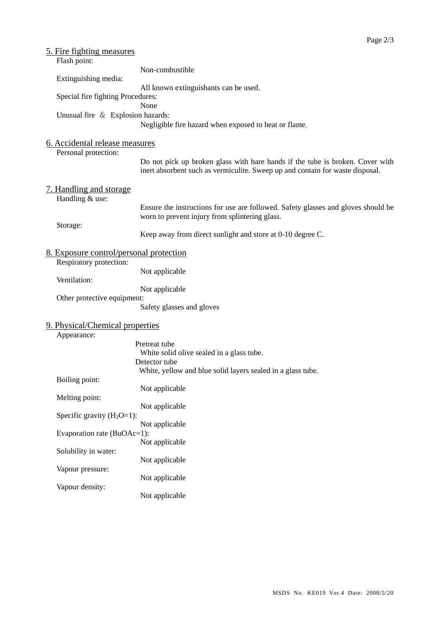| 5. Fire fighting measures                      |                                                                                   |
|------------------------------------------------|-----------------------------------------------------------------------------------|
| Flash point:                                   |                                                                                   |
|                                                | Non-combustible                                                                   |
| Extinguishing media:                           |                                                                                   |
|                                                | All known extinguishants can be used.                                             |
| Special fire fighting Procedures:              |                                                                                   |
|                                                | None                                                                              |
| Unusual fire & Explosion hazards:              |                                                                                   |
|                                                | Negligible fire hazard when exposed to heat or flame.                             |
|                                                |                                                                                   |
| 6. Accidental release measures                 |                                                                                   |
| Personal protection:                           |                                                                                   |
|                                                | Do not pick up broken glass with bare hands if the tube is broken. Cover with     |
|                                                | inert absorbent such as vermiculite. Sweep up and contain for waste disposal.     |
|                                                |                                                                                   |
| <u>7. Handling and storage</u>                 |                                                                                   |
| Handling & use:                                |                                                                                   |
|                                                | Ensure the instructions for use are followed. Safety glasses and gloves should be |
|                                                | worn to prevent injury from splintering glass.                                    |
| Storage:                                       | Keep away from direct sunlight and store at 0-10 degree C.                        |
|                                                |                                                                                   |
| <u>8. Exposure control/personal protection</u> |                                                                                   |
| Respiratory protection:                        |                                                                                   |
|                                                | Not applicable                                                                    |
| Ventilation:                                   |                                                                                   |
|                                                | Not applicable                                                                    |
| Other protective equipment:                    |                                                                                   |
|                                                | Safety glasses and gloves                                                         |
|                                                |                                                                                   |
| 9. Physical/Chemical properties                |                                                                                   |
| Appearance:                                    |                                                                                   |
|                                                | Pretreat tube                                                                     |
|                                                | White solid olive sealed in a glass tube.                                         |
|                                                | Detector tube                                                                     |
|                                                | White, yellow and blue solid layers sealed in a glass tube.                       |
| Boiling point:                                 |                                                                                   |
| Melting point:                                 | Not applicable                                                                    |
|                                                | Not applicable                                                                    |
| Specific gravity $(H_2O=1)$ :                  |                                                                                   |
|                                                | Not applicable                                                                    |
| Evaporation rate (BuOAc=1):                    |                                                                                   |
|                                                | Not applicable                                                                    |
| Solubility in water:                           |                                                                                   |
|                                                | Not applicable                                                                    |
| Vapour pressure:                               |                                                                                   |
|                                                | Not applicable                                                                    |
| Vapour density:                                |                                                                                   |
|                                                | Not applicable                                                                    |